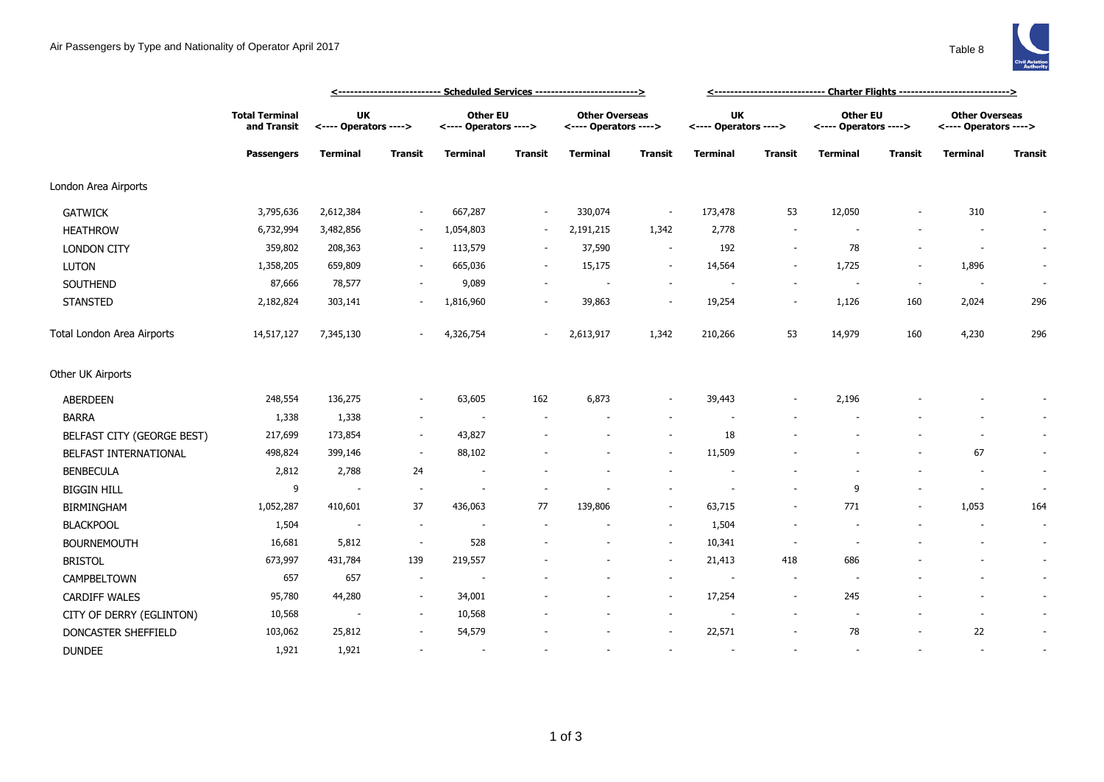

|                            |                                                           |                                    | <u> &lt;--------------------------- Scheduled Services --------------------------&gt;</u> |                                          |         |                                                |                          |                                    |                          |                                   |                |                                                |                          |
|----------------------------|-----------------------------------------------------------|------------------------------------|-------------------------------------------------------------------------------------------|------------------------------------------|---------|------------------------------------------------|--------------------------|------------------------------------|--------------------------|-----------------------------------|----------------|------------------------------------------------|--------------------------|
|                            | <b>Total Terminal</b><br>and Transit<br><b>Passengers</b> | <b>UK</b><br><---- Operators ----> |                                                                                           | <b>Other EU</b><br><---- Operators ----> |         | <b>Other Overseas</b><br><---- Operators ----> |                          | <b>UK</b><br><---- Operators ----> |                          | Other EU<br><---- Operators ----> |                | <b>Other Overseas</b><br><---- Operators ----> |                          |
|                            |                                                           | <b>Terminal</b>                    | <b>Transit</b>                                                                            | <b>Terminal</b>                          | Transit | <b>Terminal</b>                                | Transit                  | <b>Terminal</b>                    | <b>Transit</b>           | <b>Terminal</b>                   | Transit        | <b>Terminal</b>                                | <b>Transit</b>           |
| London Area Airports       |                                                           |                                    |                                                                                           |                                          |         |                                                |                          |                                    |                          |                                   |                |                                                |                          |
| <b>GATWICK</b>             | 3,795,636                                                 | 2,612,384                          |                                                                                           | 667,287                                  | $\sim$  | 330,074                                        | $\overline{\phantom{a}}$ | 173,478                            | 53                       | 12,050                            |                | 310                                            |                          |
| <b>HEATHROW</b>            | 6,732,994                                                 | 3,482,856                          |                                                                                           | 1,054,803                                | $\sim$  | 2,191,215                                      | 1,342                    | 2,778                              | $\overline{\phantom{a}}$ |                                   |                |                                                | $\sim$                   |
| <b>LONDON CITY</b>         | 359,802                                                   | 208,363                            | $\sim$                                                                                    | 113,579                                  | $\sim$  | 37,590                                         | $\sim$                   | 192                                | $\sim$                   | 78                                |                | $\overline{\phantom{a}}$                       | $\sim$                   |
| <b>LUTON</b>               | 1,358,205                                                 | 659,809                            | $\overline{\phantom{a}}$                                                                  | 665,036                                  | $\sim$  | 15,175                                         | $\overline{\phantom{a}}$ | 14,564                             | $\overline{\phantom{a}}$ | 1,725                             | $\overline{a}$ | 1,896                                          | $\sim$                   |
| SOUTHEND                   | 87,666                                                    | 78,577                             |                                                                                           | 9,089                                    |         |                                                | $\sim$                   |                                    |                          |                                   |                |                                                | $\overline{\phantom{a}}$ |
| <b>STANSTED</b>            | 2,182,824                                                 | 303,141                            |                                                                                           | 1,816,960                                |         | 39,863                                         | $\sim$                   | 19,254                             | $\overline{\phantom{a}}$ | 1,126                             | 160            | 2,024                                          | 296                      |
| Total London Area Airports | 14,517,127                                                | 7,345,130                          |                                                                                           | 4,326,754                                |         | 2,613,917                                      | 1,342                    | 210,266                            | 53                       | 14,979                            | 160            | 4,230                                          | 296                      |
| Other UK Airports          |                                                           |                                    |                                                                                           |                                          |         |                                                |                          |                                    |                          |                                   |                |                                                |                          |
| <b>ABERDEEN</b>            | 248,554                                                   | 136,275                            | $\sim$                                                                                    | 63,605                                   | 162     | 6,873                                          | $\sim$                   | 39,443                             |                          | 2,196                             |                |                                                |                          |
| <b>BARRA</b>               | 1,338                                                     | 1,338                              | $\overline{\phantom{a}}$                                                                  |                                          |         |                                                | $\sim$                   |                                    |                          |                                   |                |                                                | $\sim$                   |
| BELFAST CITY (GEORGE BEST) | 217,699                                                   | 173,854                            |                                                                                           | 43,827                                   |         |                                                | $\overline{\phantom{a}}$ | 18                                 |                          |                                   |                |                                                | $\sim$                   |
| BELFAST INTERNATIONAL      | 498,824                                                   | 399,146                            | $\sim$                                                                                    | 88,102                                   |         |                                                | $\sim$                   | 11,509                             |                          |                                   |                | 67                                             | $\sim$                   |
| <b>BENBECULA</b>           | 2,812                                                     | 2,788                              | 24                                                                                        | $\overline{\phantom{a}}$                 |         |                                                |                          |                                    |                          |                                   |                |                                                | $\sim$                   |
| <b>BIGGIN HILL</b>         | 9                                                         | $\overline{\phantom{a}}$           | $\overline{\phantom{a}}$                                                                  | $\overline{\phantom{a}}$                 |         |                                                | $\overline{\phantom{a}}$ | $\overline{\phantom{a}}$           |                          | 9                                 |                | $\overline{\phantom{a}}$                       | $\sim$                   |
| <b>BIRMINGHAM</b>          | 1,052,287                                                 | 410,601                            | 37                                                                                        | 436,063                                  | 77      | 139,806                                        | $\sim$                   | 63,715                             | $\overline{a}$           | 771                               |                | 1,053                                          | 164                      |
| <b>BLACKPOOL</b>           | 1,504                                                     | $\overline{\phantom{a}}$           | $\sim$                                                                                    | $\overline{\phantom{a}}$                 |         |                                                | $\blacksquare$           | 1,504                              | $\overline{\phantom{a}}$ |                                   |                | $\overline{\phantom{a}}$                       | $\sim$                   |
| <b>BOURNEMOUTH</b>         | 16,681                                                    | 5,812                              | $\sim$                                                                                    | 528                                      |         |                                                | $\overline{\phantom{a}}$ | 10,341                             | $\overline{\phantom{a}}$ |                                   |                |                                                | $\sim$                   |
| <b>BRISTOL</b>             | 673,997                                                   | 431,784                            | 139                                                                                       | 219,557                                  |         |                                                | $\overline{\phantom{a}}$ | 21,413                             | 418                      | 686                               |                |                                                | $\sim$                   |
| CAMPBELTOWN                | 657                                                       | 657                                | $\overline{\phantom{a}}$                                                                  |                                          |         |                                                | $\overline{\phantom{a}}$ | $\overline{\phantom{a}}$           | $\overline{\phantom{a}}$ |                                   |                |                                                | $\sim$                   |
| <b>CARDIFF WALES</b>       | 95,780                                                    | 44,280                             | $\sim$                                                                                    | 34,001                                   |         |                                                | $\sim$                   | 17,254                             | $\sim$                   | 245                               |                |                                                | $\sim$                   |
| CITY OF DERRY (EGLINTON)   | 10,568                                                    |                                    | $\sim$                                                                                    | 10,568                                   |         |                                                | $\sim$                   |                                    |                          |                                   |                |                                                | $\sim$                   |
| DONCASTER SHEFFIELD        | 103,062                                                   | 25,812                             |                                                                                           | 54,579                                   |         |                                                | $\overline{\phantom{a}}$ | 22,571                             |                          | 78                                |                | 22                                             | $\sim$                   |
| <b>DUNDEE</b>              | 1,921                                                     | 1,921                              |                                                                                           | $\sim$                                   |         |                                                | ÷.                       |                                    |                          |                                   |                |                                                | $\sim$                   |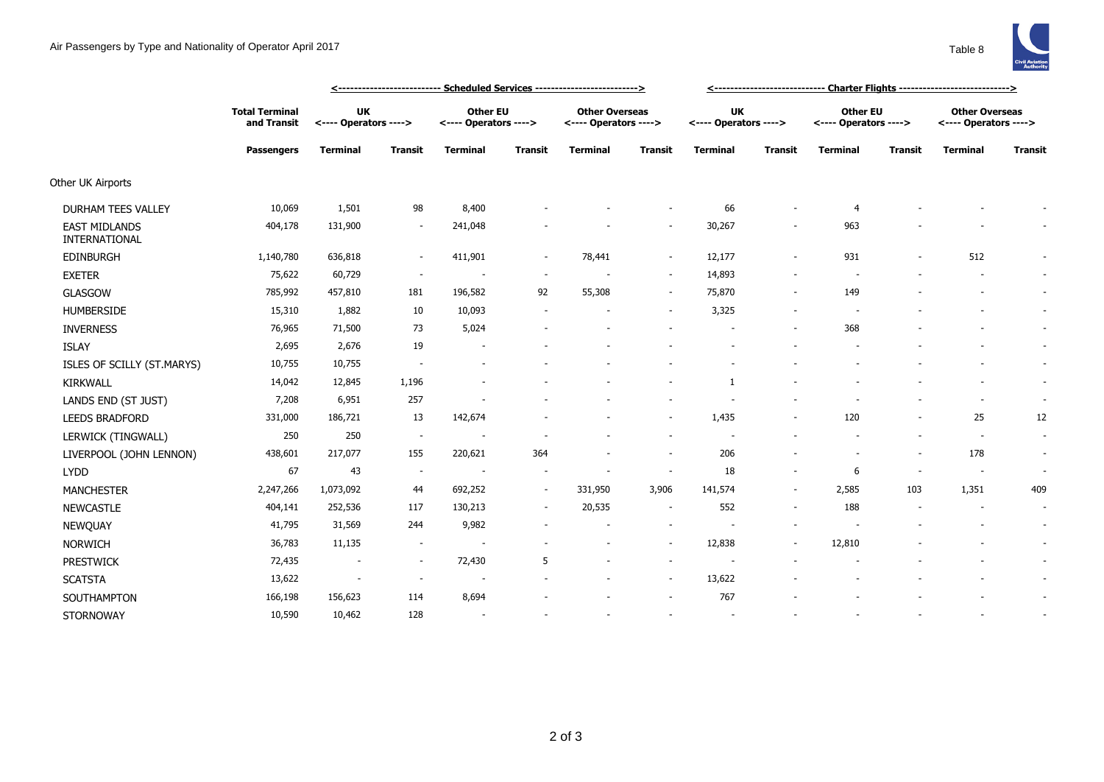

|                                       |                                      | <u> &lt;-------------------------- Scheduled Services --------------------------&gt;</u> |                          |                                          |                          |                                                |                          |                                    |                          |                                          |                |                                                |                          |
|---------------------------------------|--------------------------------------|------------------------------------------------------------------------------------------|--------------------------|------------------------------------------|--------------------------|------------------------------------------------|--------------------------|------------------------------------|--------------------------|------------------------------------------|----------------|------------------------------------------------|--------------------------|
|                                       | <b>Total Terminal</b><br>and Transit | UK<br><---- Operators ---->                                                              |                          | <b>Other EU</b><br><---- Operators ----> |                          | <b>Other Overseas</b><br><---- Operators ----> |                          | <b>UK</b><br><---- Operators ----> |                          | <b>Other EU</b><br><---- Operators ----> |                | <b>Other Overseas</b><br><---- Operators ----> |                          |
|                                       | <b>Passengers</b>                    | <b>Terminal</b>                                                                          | <b>Transit</b>           | <b>Terminal</b>                          | <b>Transit</b>           | <b>Terminal</b>                                | <b>Transit</b>           | <b>Terminal</b>                    | <b>Transit</b>           | <b>Terminal</b>                          | <b>Transit</b> | <b>Terminal</b>                                | <b>Transit</b>           |
| Other UK Airports                     |                                      |                                                                                          |                          |                                          |                          |                                                |                          |                                    |                          |                                          |                |                                                |                          |
| <b>DURHAM TEES VALLEY</b>             | 10,069                               | 1,501                                                                                    | 98                       | 8,400                                    |                          |                                                |                          | 66                                 |                          | $\overline{4}$                           |                |                                                |                          |
| <b>EAST MIDLANDS</b><br>INTERNATIONAL | 404,178                              | 131,900                                                                                  |                          | 241,048                                  |                          |                                                |                          | 30,267                             |                          | 963                                      |                |                                                |                          |
| <b>EDINBURGH</b>                      | 1,140,780                            | 636,818                                                                                  | $\sim$                   | 411,901                                  | $\sim$                   | 78,441                                         | $\sim$                   | 12,177                             | $\sim$                   | 931                                      |                | 512                                            |                          |
| <b>EXETER</b>                         | 75,622                               | 60,729                                                                                   | $\sim$                   |                                          | $\overline{\phantom{a}}$ |                                                | $\sim$                   | 14,893                             |                          |                                          |                |                                                | $\sim$                   |
| <b>GLASGOW</b>                        | 785,992                              | 457,810                                                                                  | 181                      | 196,582                                  | 92                       | 55,308                                         | $\sim$                   | 75,870                             | $\sim$                   | 149                                      |                |                                                | $\sim$                   |
| <b>HUMBERSIDE</b>                     | 15,310                               | 1,882                                                                                    | 10                       | 10,093                                   |                          |                                                | $\sim$                   | 3,325                              |                          |                                          |                |                                                | $\sim$                   |
| <b>INVERNESS</b>                      | 76,965                               | 71,500                                                                                   | 73                       | 5,024                                    |                          |                                                |                          |                                    |                          | 368                                      |                |                                                | $\sim$                   |
| <b>ISLAY</b>                          | 2,695                                | 2,676                                                                                    | 19                       |                                          |                          |                                                |                          |                                    |                          |                                          |                |                                                | $\sim$                   |
| ISLES OF SCILLY (ST.MARYS)            | 10,755                               | 10,755                                                                                   | $\sim$                   |                                          |                          |                                                |                          |                                    |                          |                                          |                |                                                | $\sim$                   |
| <b>KIRKWALL</b>                       | 14,042                               | 12,845                                                                                   | 1,196                    |                                          |                          |                                                |                          |                                    |                          |                                          |                |                                                | $\sim$                   |
| LANDS END (ST JUST)                   | 7,208                                | 6,951                                                                                    | 257                      |                                          |                          |                                                |                          |                                    |                          |                                          |                |                                                | $\sim$                   |
| <b>LEEDS BRADFORD</b>                 | 331,000                              | 186,721                                                                                  | 13                       | 142,674                                  |                          |                                                | $\sim$                   | 1,435                              | $\overline{\phantom{a}}$ | 120                                      |                | 25                                             | 12                       |
| LERWICK (TINGWALL)                    | 250                                  | 250                                                                                      | $\sim$                   | $\overline{\phantom{a}}$                 |                          |                                                | $\sim$                   | $\overline{\phantom{a}}$           |                          |                                          |                | $\sim$                                         | $\overline{\phantom{a}}$ |
| LIVERPOOL (JOHN LENNON)               | 438,601                              | 217,077                                                                                  | 155                      | 220,621                                  | 364                      |                                                | $\sim$                   | 206                                |                          |                                          |                | 178                                            |                          |
| <b>LYDD</b>                           | 67                                   | 43                                                                                       | $\sim$                   | $\overline{\phantom{a}}$                 |                          |                                                | $\overline{\phantom{a}}$ | 18                                 |                          | 6                                        |                | $\sim$                                         |                          |
| <b>MANCHESTER</b>                     | 2,247,266                            | 1,073,092                                                                                | 44                       | 692,252                                  | $\sim$                   | 331,950                                        | 3,906                    | 141,574                            | $\sim$                   | 2,585                                    | 103            | 1,351                                          | 409                      |
| <b>NEWCASTLE</b>                      | 404,141                              | 252,536                                                                                  | 117                      | 130,213                                  | $\sim$                   | 20,535                                         | $\sim$                   | 552                                | $\sim$                   | 188                                      |                | $\sim$                                         | $\overline{\phantom{a}}$ |
| NEWQUAY                               | 41,795                               | 31,569                                                                                   | 244                      | 9,982                                    |                          |                                                | $\sim$                   |                                    |                          |                                          |                |                                                | $\sim$                   |
| <b>NORWICH</b>                        | 36,783                               | 11,135                                                                                   | $\sim$                   | $\overline{\phantom{a}}$                 |                          |                                                | $\sim$                   | 12,838                             |                          | 12,810                                   |                |                                                | $\sim$                   |
| <b>PRESTWICK</b>                      | 72,435                               | $\overline{\phantom{a}}$                                                                 | $\sim$                   | 72,430                                   | 5                        |                                                | $\sim$                   |                                    |                          |                                          |                |                                                | $\sim$                   |
| <b>SCATSTA</b>                        | 13,622                               | $\sim$                                                                                   | $\overline{\phantom{a}}$ | $\overline{\phantom{a}}$                 |                          |                                                | $\sim$                   | 13,622                             |                          |                                          |                |                                                | $\sim$                   |
| SOUTHAMPTON                           | 166,198                              | 156,623                                                                                  | 114                      | 8,694                                    |                          |                                                | $\sim$                   | 767                                |                          |                                          |                |                                                | $\sim$                   |
| <b>STORNOWAY</b>                      | 10,590                               | 10,462                                                                                   | 128                      | $\overline{\phantom{a}}$                 |                          |                                                |                          | $\overline{\phantom{a}}$           |                          |                                          |                |                                                |                          |